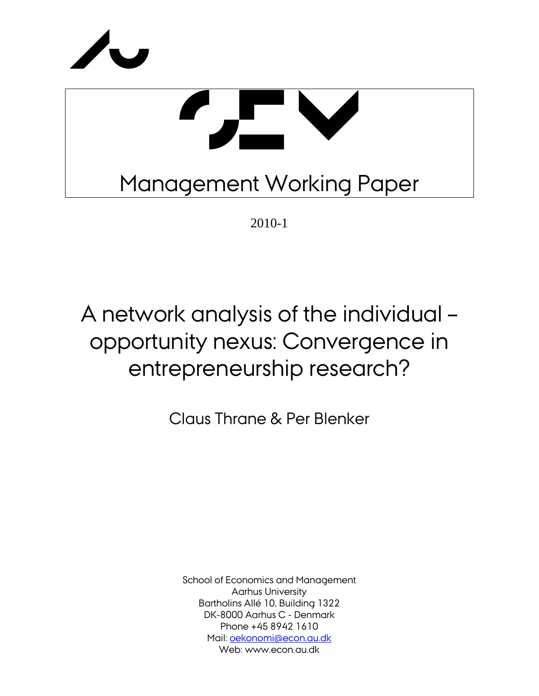



2010-1

# A network analysis of the individual – opportunity nexus: Convergence in entrepreneurship research?

Claus Thrane & Per Blenker

School of Economics and Management Aarhus University Bartholins Allé 10, Building 1322 DK-8000 Aarhus C - Denmark Phone +45 8942 1610 Mail: oekonomi@econ.au.dk Web: www.econ.au.dk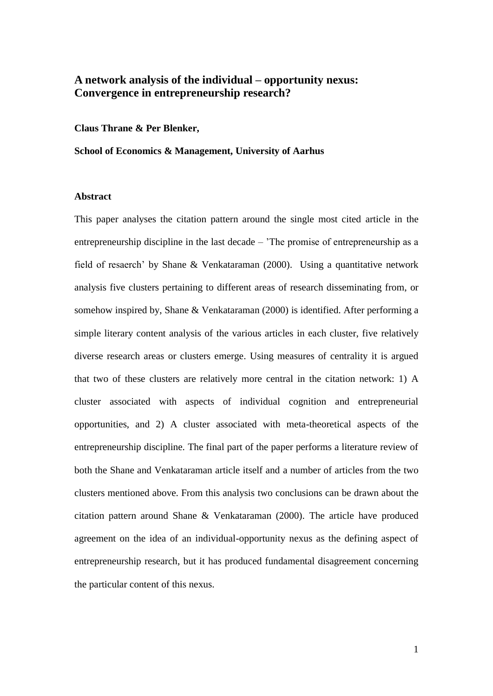## **A network analysis of the individual – opportunity nexus: Convergence in entrepreneurship research?**

**Claus Thrane & Per Blenker,** 

**School of Economics & Management, University of Aarhus**

#### **Abstract**

This paper analyses the citation pattern around the single most cited article in the entrepreneurship discipline in the last decade – "The promise of entrepreneurship as a field of resaerch" by Shane & Venkataraman (2000). Using a quantitative network analysis five clusters pertaining to different areas of research disseminating from, or somehow inspired by, Shane & Venkataraman (2000) is identified. After performing a simple literary content analysis of the various articles in each cluster, five relatively diverse research areas or clusters emerge. Using measures of centrality it is argued that two of these clusters are relatively more central in the citation network: 1) A cluster associated with aspects of individual cognition and entrepreneurial opportunities, and 2) A cluster associated with meta-theoretical aspects of the entrepreneurship discipline. The final part of the paper performs a literature review of both the Shane and Venkataraman article itself and a number of articles from the two clusters mentioned above. From this analysis two conclusions can be drawn about the citation pattern around Shane & Venkataraman (2000). The article have produced agreement on the idea of an individual-opportunity nexus as the defining aspect of entrepreneurship research, but it has produced fundamental disagreement concerning the particular content of this nexus.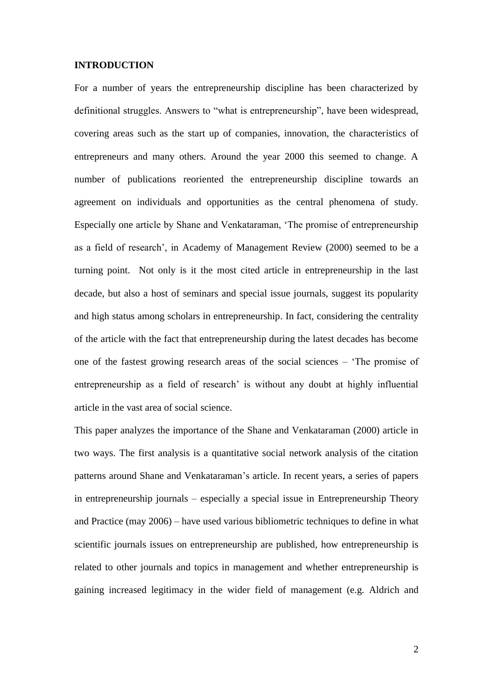#### **INTRODUCTION**

For a number of years the entrepreneurship discipline has been characterized by definitional struggles. Answers to "what is entrepreneurship", have been widespread, covering areas such as the start up of companies, innovation, the characteristics of entrepreneurs and many others. Around the year 2000 this seemed to change. A number of publications reoriented the entrepreneurship discipline towards an agreement on individuals and opportunities as the central phenomena of study. Especially one article by Shane and Venkataraman, "The promise of entrepreneurship as a field of research", in Academy of Management Review (2000) seemed to be a turning point. Not only is it the most cited article in entrepreneurship in the last decade, but also a host of seminars and special issue journals, suggest its popularity and high status among scholars in entrepreneurship. In fact, considering the centrality of the article with the fact that entrepreneurship during the latest decades has become one of the fastest growing research areas of the social sciences – "The promise of entrepreneurship as a field of research' is without any doubt at highly influential article in the vast area of social science.

This paper analyzes the importance of the Shane and Venkataraman (2000) article in two ways. The first analysis is a quantitative social network analysis of the citation patterns around Shane and Venkataraman"s article. In recent years, a series of papers in entrepreneurship journals – especially a special issue in Entrepreneurship Theory and Practice (may 2006) – have used various bibliometric techniques to define in what scientific journals issues on entrepreneurship are published, how entrepreneurship is related to other journals and topics in management and whether entrepreneurship is gaining increased legitimacy in the wider field of management (e.g. Aldrich and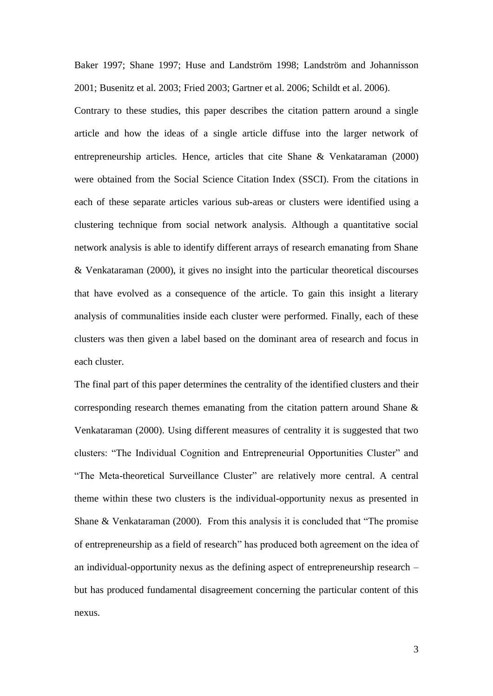Baker 1997; Shane 1997; Huse and Landström 1998; Landström and Johannisson 2001; Busenitz et al. 2003; Fried 2003; Gartner et al. 2006; Schildt et al. 2006).

Contrary to these studies, this paper describes the citation pattern around a single article and how the ideas of a single article diffuse into the larger network of entrepreneurship articles. Hence, articles that cite Shane & Venkataraman (2000) were obtained from the Social Science Citation Index (SSCI). From the citations in each of these separate articles various sub-areas or clusters were identified using a clustering technique from social network analysis. Although a quantitative social network analysis is able to identify different arrays of research emanating from Shane & Venkataraman (2000), it gives no insight into the particular theoretical discourses that have evolved as a consequence of the article. To gain this insight a literary analysis of communalities inside each cluster were performed. Finally, each of these clusters was then given a label based on the dominant area of research and focus in each cluster.

The final part of this paper determines the centrality of the identified clusters and their corresponding research themes emanating from the citation pattern around Shane  $\&$ Venkataraman (2000). Using different measures of centrality it is suggested that two clusters: "The Individual Cognition and Entrepreneurial Opportunities Cluster" and "The Meta-theoretical Surveillance Cluster" are relatively more central. A central theme within these two clusters is the individual-opportunity nexus as presented in Shane & Venkataraman (2000). From this analysis it is concluded that "The promise of entrepreneurship as a field of research" has produced both agreement on the idea of an individual-opportunity nexus as the defining aspect of entrepreneurship research – but has produced fundamental disagreement concerning the particular content of this nexus.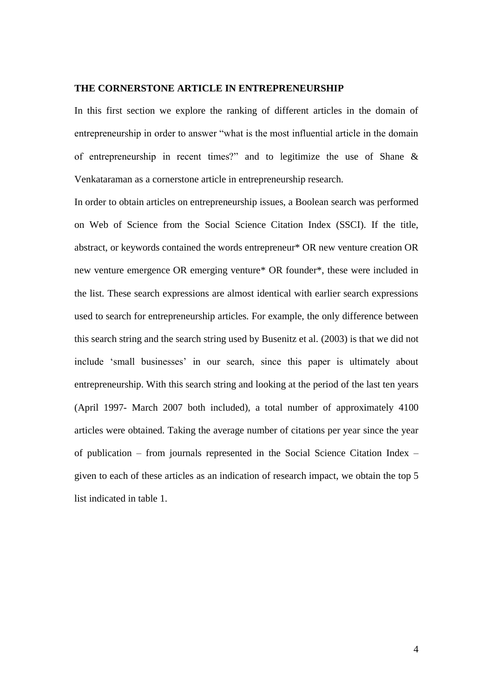#### **THE CORNERSTONE ARTICLE IN ENTREPRENEURSHIP**

In this first section we explore the ranking of different articles in the domain of entrepreneurship in order to answer "what is the most influential article in the domain of entrepreneurship in recent times?" and to legitimize the use of Shane & Venkataraman as a cornerstone article in entrepreneurship research.

In order to obtain articles on entrepreneurship issues, a Boolean search was performed on Web of Science from the Social Science Citation Index (SSCI). If the title, abstract, or keywords contained the words entrepreneur\* OR new venture creation OR new venture emergence OR emerging venture\* OR founder\*, these were included in the list. These search expressions are almost identical with earlier search expressions used to search for entrepreneurship articles. For example, the only difference between this search string and the search string used by Busenitz et al. (2003) is that we did not include 'small businesses' in our search, since this paper is ultimately about entrepreneurship. With this search string and looking at the period of the last ten years (April 1997- March 2007 both included), a total number of approximately 4100 articles were obtained. Taking the average number of citations per year since the year of publication – from journals represented in the Social Science Citation Index – given to each of these articles as an indication of research impact, we obtain the top 5 list indicated in table 1.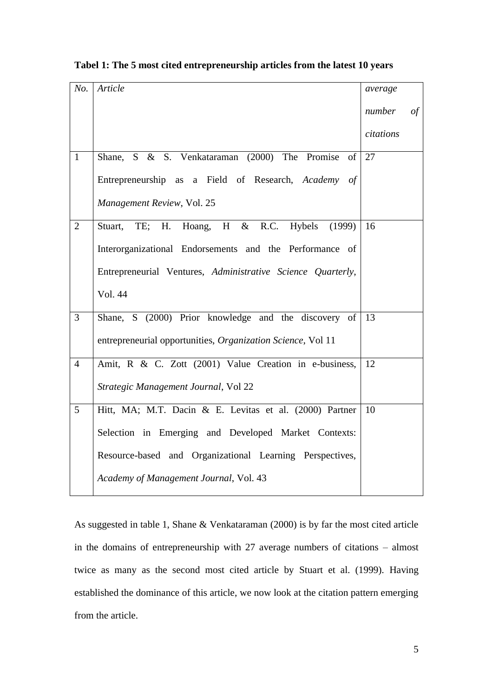| No.            | Article                                                     | average   |            |
|----------------|-------------------------------------------------------------|-----------|------------|
|                |                                                             | number    | $\sigma f$ |
|                |                                                             | citations |            |
| $\mathbf{1}$   | Shane, S & S. Venkataraman (2000) The Promise<br>of         | 27        |            |
|                | Entrepreneurship as a Field of Research, Academy of         |           |            |
|                | Management Review, Vol. 25                                  |           |            |
| $\overline{2}$ | Hoang, H & R.C. Hybels<br>H.<br>TE;<br>(1999)<br>Stuart,    | 16        |            |
|                | Interorganizational Endorsements and the Performance of     |           |            |
|                | Entrepreneurial Ventures, Administrative Science Quarterly, |           |            |
|                | Vol. 44                                                     |           |            |
| $\overline{3}$ | Shane, S (2000) Prior knowledge and the discovery of        | 13        |            |
|                | entrepreneurial opportunities, Organization Science, Vol 11 |           |            |
| $\overline{4}$ | Amit, R & C. Zott (2001) Value Creation in e-business,      | 12        |            |
|                | Strategic Management Journal, Vol 22                        |           |            |
| $\overline{5}$ | Hitt, MA; M.T. Dacin & E. Levitas et al. (2000) Partner     | 10        |            |
|                | Selection in Emerging and Developed Market Contexts:        |           |            |
|                | Resource-based and Organizational Learning Perspectives,    |           |            |
|                | Academy of Management Journal, Vol. 43                      |           |            |

#### **Tabel 1: The 5 most cited entrepreneurship articles from the latest 10 years**

As suggested in table 1, Shane & Venkataraman (2000) is by far the most cited article in the domains of entrepreneurship with 27 average numbers of citations – almost twice as many as the second most cited article by Stuart et al. (1999). Having established the dominance of this article, we now look at the citation pattern emerging from the article.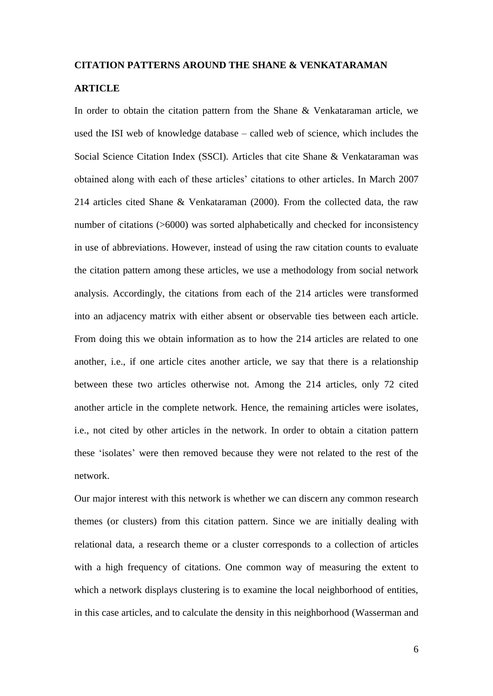#### **CITATION PATTERNS AROUND THE SHANE & VENKATARAMAN**

#### **ARTICLE**

In order to obtain the citation pattern from the Shane & Venkataraman article, we used the ISI web of knowledge database – called web of science, which includes the Social Science Citation Index (SSCI). Articles that cite Shane & Venkataraman was obtained along with each of these articles" citations to other articles. In March 2007 214 articles cited Shane & Venkataraman (2000). From the collected data, the raw number of citations (>6000) was sorted alphabetically and checked for inconsistency in use of abbreviations. However, instead of using the raw citation counts to evaluate the citation pattern among these articles, we use a methodology from social network analysis. Accordingly, the citations from each of the 214 articles were transformed into an adjacency matrix with either absent or observable ties between each article. From doing this we obtain information as to how the 214 articles are related to one another, i.e., if one article cites another article, we say that there is a relationship between these two articles otherwise not. Among the 214 articles, only 72 cited another article in the complete network. Hence, the remaining articles were isolates, i.e., not cited by other articles in the network. In order to obtain a citation pattern these "isolates" were then removed because they were not related to the rest of the network.

Our major interest with this network is whether we can discern any common research themes (or clusters) from this citation pattern. Since we are initially dealing with relational data, a research theme or a cluster corresponds to a collection of articles with a high frequency of citations. One common way of measuring the extent to which a network displays clustering is to examine the local neighborhood of entities, in this case articles, and to calculate the density in this neighborhood (Wasserman and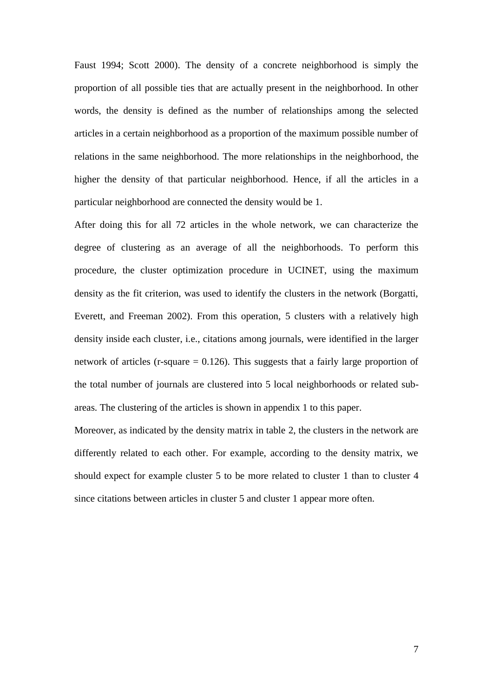Faust 1994; Scott 2000). The density of a concrete neighborhood is simply the proportion of all possible ties that are actually present in the neighborhood. In other words, the density is defined as the number of relationships among the selected articles in a certain neighborhood as a proportion of the maximum possible number of relations in the same neighborhood. The more relationships in the neighborhood, the higher the density of that particular neighborhood. Hence, if all the articles in a particular neighborhood are connected the density would be 1.

After doing this for all 72 articles in the whole network, we can characterize the degree of clustering as an average of all the neighborhoods. To perform this procedure, the cluster optimization procedure in UCINET, using the maximum density as the fit criterion, was used to identify the clusters in the network (Borgatti, Everett, and Freeman 2002). From this operation, 5 clusters with a relatively high density inside each cluster, i.e., citations among journals, were identified in the larger network of articles (r-square  $= 0.126$ ). This suggests that a fairly large proportion of the total number of journals are clustered into 5 local neighborhoods or related subareas. The clustering of the articles is shown in appendix 1 to this paper.

Moreover, as indicated by the density matrix in table 2, the clusters in the network are differently related to each other. For example, according to the density matrix, we should expect for example cluster 5 to be more related to cluster 1 than to cluster 4 since citations between articles in cluster 5 and cluster 1 appear more often.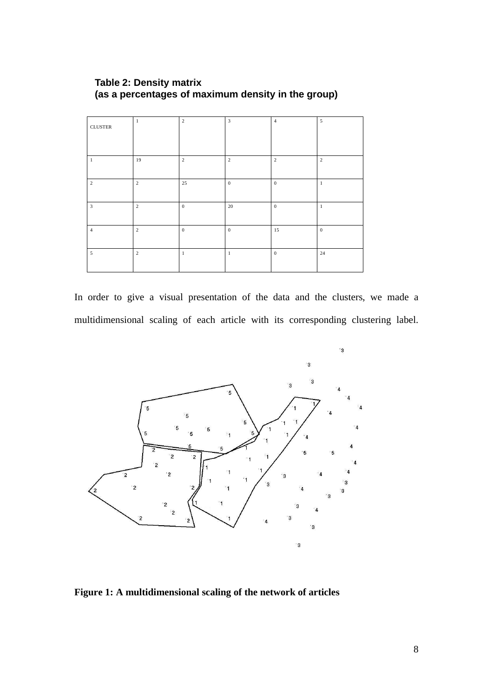| <b>CLUSTER</b> | 1              | $\sqrt{2}$   | $\overline{\mathbf{3}}$ | $\overline{4}$   | $\overline{5}$ |
|----------------|----------------|--------------|-------------------------|------------------|----------------|
|                |                |              |                         |                  |                |
| $\mathbf{1}$   | 19             | $\sqrt{2}$   | $\sqrt{2}$              | $\overline{2}$   | $\overline{2}$ |
| $\overline{c}$ | $\overline{c}$ | 25           | $\mathbf{0}$            | $\mathbf{0}$     | $\mathbf{1}$   |
| $\overline{3}$ | $\overline{c}$ | $\mathbf{0}$ | 20                      | $\boldsymbol{0}$ | $\mathbf{1}$   |
| $\overline{4}$ | 2              | $\mathbf{0}$ | $\overline{0}$          | 15               | $\mathbf{0}$   |
| $\overline{5}$ | $\overline{c}$ | $\mathbf{1}$ | $\mathbf{1}$            | $\mathbf{0}$     | 24             |

### **Table 2: Density matrix (as a percentages of maximum density in the group)**

In order to give a visual presentation of the data and the clusters, we made a multidimensional scaling of each article with its corresponding clustering label.



**Figure 1: A multidimensional scaling of the network of articles**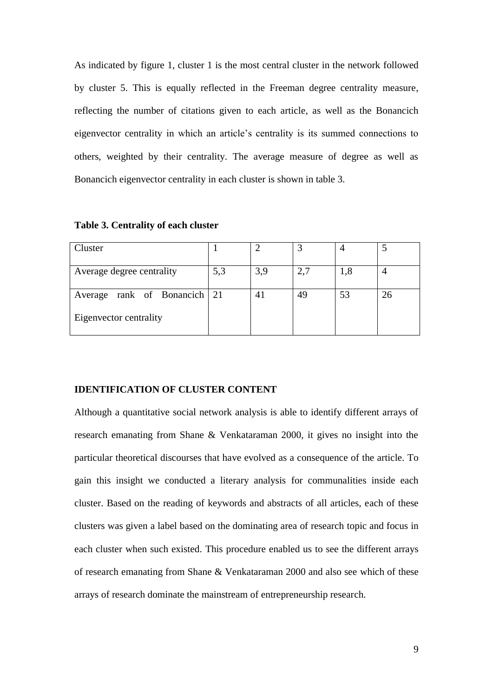As indicated by figure 1, cluster 1 is the most central cluster in the network followed by cluster 5. This is equally reflected in the Freeman degree centrality measure, reflecting the number of citations given to each article, as well as the Bonancich eigenvector centrality in which an article"s centrality is its summed connections to others, weighted by their centrality. The average measure of degree as well as Bonancich eigenvector centrality in each cluster is shown in table 3.

| Cluster                      |     |     |    |     |    |
|------------------------------|-----|-----|----|-----|----|
| Average degree centrality    | 5,3 | 3,9 |    | 1,8 |    |
| Average rank of Bonancich 21 |     | 41  | 49 | 53  | 26 |
| Eigenvector centrality       |     |     |    |     |    |

#### **Table 3. Centrality of each cluster**

#### **IDENTIFICATION OF CLUSTER CONTENT**

Although a quantitative social network analysis is able to identify different arrays of research emanating from Shane & Venkataraman 2000, it gives no insight into the particular theoretical discourses that have evolved as a consequence of the article. To gain this insight we conducted a literary analysis for communalities inside each cluster. Based on the reading of keywords and abstracts of all articles, each of these clusters was given a label based on the dominating area of research topic and focus in each cluster when such existed. This procedure enabled us to see the different arrays of research emanating from Shane & Venkataraman 2000 and also see which of these arrays of research dominate the mainstream of entrepreneurship research.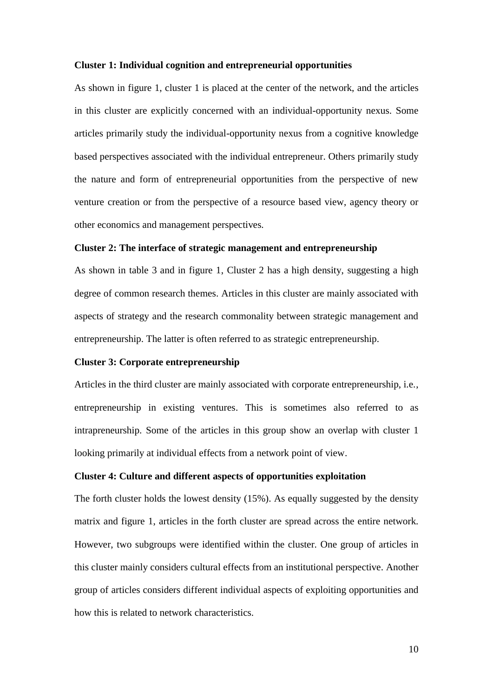#### **Cluster 1: Individual cognition and entrepreneurial opportunities**

As shown in figure 1, cluster 1 is placed at the center of the network, and the articles in this cluster are explicitly concerned with an individual-opportunity nexus. Some articles primarily study the individual-opportunity nexus from a cognitive knowledge based perspectives associated with the individual entrepreneur. Others primarily study the nature and form of entrepreneurial opportunities from the perspective of new venture creation or from the perspective of a resource based view, agency theory or other economics and management perspectives.

#### **Cluster 2: The interface of strategic management and entrepreneurship**

As shown in table 3 and in figure 1, Cluster 2 has a high density, suggesting a high degree of common research themes. Articles in this cluster are mainly associated with aspects of strategy and the research commonality between strategic management and entrepreneurship. The latter is often referred to as strategic entrepreneurship.

#### **Cluster 3: Corporate entrepreneurship**

Articles in the third cluster are mainly associated with corporate entrepreneurship, i.e., entrepreneurship in existing ventures. This is sometimes also referred to as intrapreneurship. Some of the articles in this group show an overlap with cluster 1 looking primarily at individual effects from a network point of view.

#### **Cluster 4: Culture and different aspects of opportunities exploitation**

The forth cluster holds the lowest density (15%). As equally suggested by the density matrix and figure 1, articles in the forth cluster are spread across the entire network. However, two subgroups were identified within the cluster. One group of articles in this cluster mainly considers cultural effects from an institutional perspective. Another group of articles considers different individual aspects of exploiting opportunities and how this is related to network characteristics.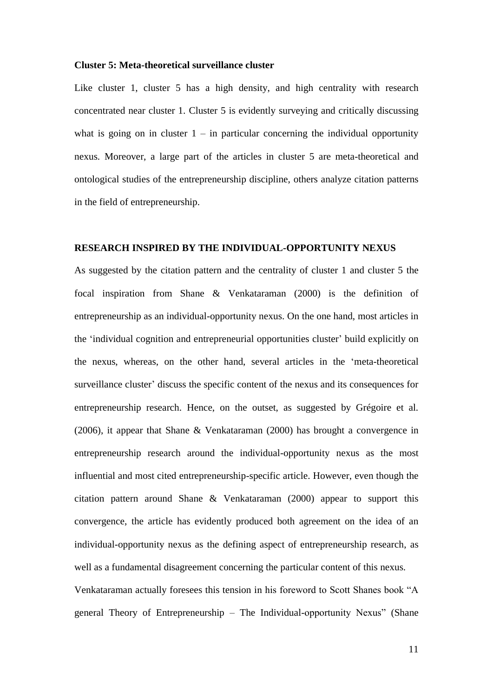#### **Cluster 5: Meta-theoretical surveillance cluster**

Like cluster 1, cluster 5 has a high density, and high centrality with research concentrated near cluster 1. Cluster 5 is evidently surveying and critically discussing what is going on in cluster  $1 - in$  particular concerning the individual opportunity nexus. Moreover, a large part of the articles in cluster 5 are meta-theoretical and ontological studies of the entrepreneurship discipline, others analyze citation patterns in the field of entrepreneurship.

#### **RESEARCH INSPIRED BY THE INDIVIDUAL-OPPORTUNITY NEXUS**

As suggested by the citation pattern and the centrality of cluster 1 and cluster 5 the focal inspiration from Shane & Venkataraman (2000) is the definition of entrepreneurship as an individual-opportunity nexus. On the one hand, most articles in the "individual cognition and entrepreneurial opportunities cluster" build explicitly on the nexus, whereas, on the other hand, several articles in the "meta-theoretical surveillance cluster' discuss the specific content of the nexus and its consequences for entrepreneurship research. Hence, on the outset, as suggested by Grégoire et al. (2006), it appear that Shane & Venkataraman (2000) has brought a convergence in entrepreneurship research around the individual-opportunity nexus as the most influential and most cited entrepreneurship-specific article. However, even though the citation pattern around Shane & Venkataraman (2000) appear to support this convergence, the article has evidently produced both agreement on the idea of an individual-opportunity nexus as the defining aspect of entrepreneurship research, as well as a fundamental disagreement concerning the particular content of this nexus. Venkataraman actually foresees this tension in his foreword to Scott Shanes book "A general Theory of Entrepreneurship – The Individual-opportunity Nexus" (Shane

11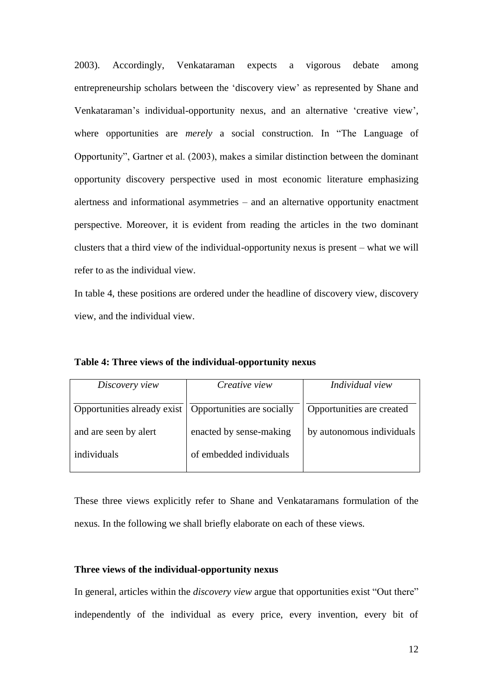2003). Accordingly, Venkataraman expects a vigorous debate among entrepreneurship scholars between the "discovery view" as represented by Shane and Venkataraman"s individual-opportunity nexus, and an alternative "creative view", where opportunities are *merely* a social construction. In "The Language of Opportunity", Gartner et al. (2003), makes a similar distinction between the dominant opportunity discovery perspective used in most economic literature emphasizing alertness and informational asymmetries – and an alternative opportunity enactment perspective. Moreover, it is evident from reading the articles in the two dominant clusters that a third view of the individual-opportunity nexus is present – what we will refer to as the individual view.

In table 4, these positions are ordered under the headline of discovery view, discovery view, and the individual view.

| Discovery view                                           | Creative view           | Individual view           |
|----------------------------------------------------------|-------------------------|---------------------------|
| Opportunities already exist   Opportunities are socially |                         | Opportunities are created |
| and are seen by alert                                    | enacted by sense-making | by autonomous individuals |
| individuals                                              | of embedded individuals |                           |
|                                                          |                         |                           |

**Table 4: Three views of the individual-opportunity nexus**

These three views explicitly refer to Shane and Venkataramans formulation of the nexus. In the following we shall briefly elaborate on each of these views.

#### **Three views of the individual-opportunity nexus**

In general, articles within the *discovery view* argue that opportunities exist "Out there" independently of the individual as every price, every invention, every bit of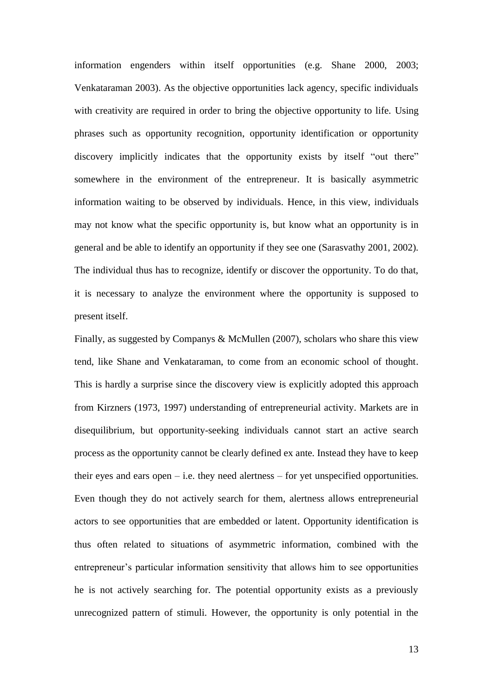information engenders within itself opportunities (e.g. Shane 2000, 2003; Venkataraman 2003). As the objective opportunities lack agency, specific individuals with creativity are required in order to bring the objective opportunity to life. Using phrases such as opportunity recognition, opportunity identification or opportunity discovery implicitly indicates that the opportunity exists by itself "out there" somewhere in the environment of the entrepreneur. It is basically asymmetric information waiting to be observed by individuals. Hence, in this view, individuals may not know what the specific opportunity is, but know what an opportunity is in general and be able to identify an opportunity if they see one (Sarasvathy 2001, 2002). The individual thus has to recognize, identify or discover the opportunity. To do that, it is necessary to analyze the environment where the opportunity is supposed to present itself.

Finally, as suggested by Companys & McMullen (2007), scholars who share this view tend, like Shane and Venkataraman, to come from an economic school of thought. This is hardly a surprise since the discovery view is explicitly adopted this approach from Kirzners (1973, 1997) understanding of entrepreneurial activity. Markets are in disequilibrium, but opportunity-seeking individuals cannot start an active search process as the opportunity cannot be clearly defined ex ante. Instead they have to keep their eyes and ears open  $-$  i.e. they need alertness  $-$  for yet unspecified opportunities. Even though they do not actively search for them, alertness allows entrepreneurial actors to see opportunities that are embedded or latent. Opportunity identification is thus often related to situations of asymmetric information, combined with the entrepreneur's particular information sensitivity that allows him to see opportunities he is not actively searching for. The potential opportunity exists as a previously unrecognized pattern of stimuli. However, the opportunity is only potential in the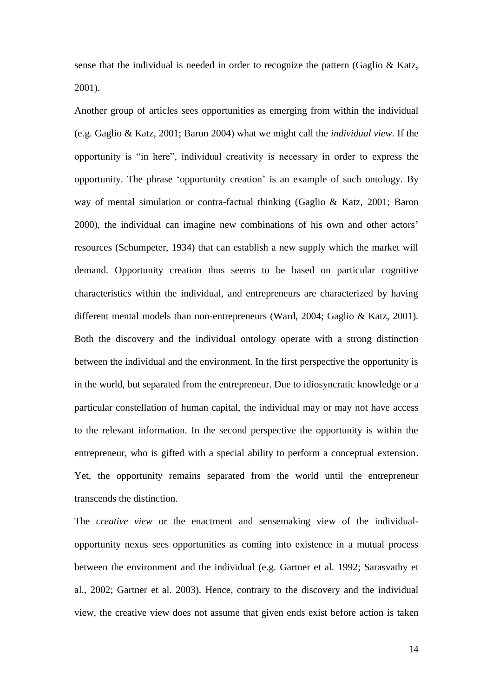sense that the individual is needed in order to recognize the pattern (Gaglio & Katz, 2001).

Another group of articles sees opportunities as emerging from within the individual (e.g. Gaglio & Katz, 2001; Baron 2004) what we might call the *individual view*. If the opportunity is "in here", individual creativity is necessary in order to express the opportunity. The phrase "opportunity creation" is an example of such ontology. By way of mental simulation or contra-factual thinking (Gaglio & Katz, 2001; Baron 2000), the individual can imagine new combinations of his own and other actors" resources (Schumpeter, 1934) that can establish a new supply which the market will demand. Opportunity creation thus seems to be based on particular cognitive characteristics within the individual, and entrepreneurs are characterized by having different mental models than non-entrepreneurs (Ward, 2004; Gaglio & Katz, 2001). Both the discovery and the individual ontology operate with a strong distinction between the individual and the environment. In the first perspective the opportunity is in the world, but separated from the entrepreneur. Due to idiosyncratic knowledge or a particular constellation of human capital, the individual may or may not have access to the relevant information. In the second perspective the opportunity is within the entrepreneur, who is gifted with a special ability to perform a conceptual extension. Yet, the opportunity remains separated from the world until the entrepreneur transcends the distinction.

The *creative view* or the enactment and sensemaking view of the individualopportunity nexus sees opportunities as coming into existence in a mutual process between the environment and the individual (e.g. Gartner et al. 1992; Sarasvathy et al., 2002; Gartner et al. 2003). Hence, contrary to the discovery and the individual view, the creative view does not assume that given ends exist before action is taken

14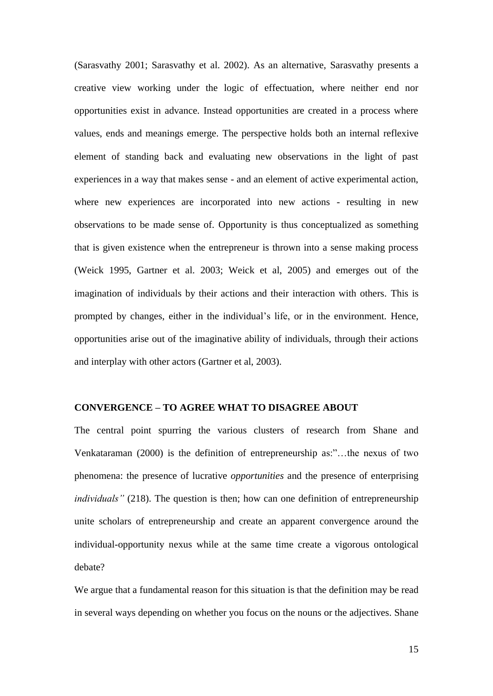(Sarasvathy 2001; Sarasvathy et al. 2002). As an alternative, Sarasvathy presents a creative view working under the logic of effectuation, where neither end nor opportunities exist in advance. Instead opportunities are created in a process where values, ends and meanings emerge. The perspective holds both an internal reflexive element of standing back and evaluating new observations in the light of past experiences in a way that makes sense - and an element of active experimental action, where new experiences are incorporated into new actions - resulting in new observations to be made sense of. Opportunity is thus conceptualized as something that is given existence when the entrepreneur is thrown into a sense making process (Weick 1995, Gartner et al. 2003; Weick et al, 2005) and emerges out of the imagination of individuals by their actions and their interaction with others. This is prompted by changes, either in the individual"s life, or in the environment. Hence, opportunities arise out of the imaginative ability of individuals, through their actions and interplay with other actors (Gartner et al, 2003).

#### **CONVERGENCE – TO AGREE WHAT TO DISAGREE ABOUT**

The central point spurring the various clusters of research from Shane and Venkataraman (2000) is the definition of entrepreneurship as:"…the nexus of two phenomena: the presence of lucrative *opportunities* and the presence of enterprising *individuals"* (218). The question is then; how can one definition of entrepreneurship unite scholars of entrepreneurship and create an apparent convergence around the individual-opportunity nexus while at the same time create a vigorous ontological debate?

We argue that a fundamental reason for this situation is that the definition may be read in several ways depending on whether you focus on the nouns or the adjectives. Shane

15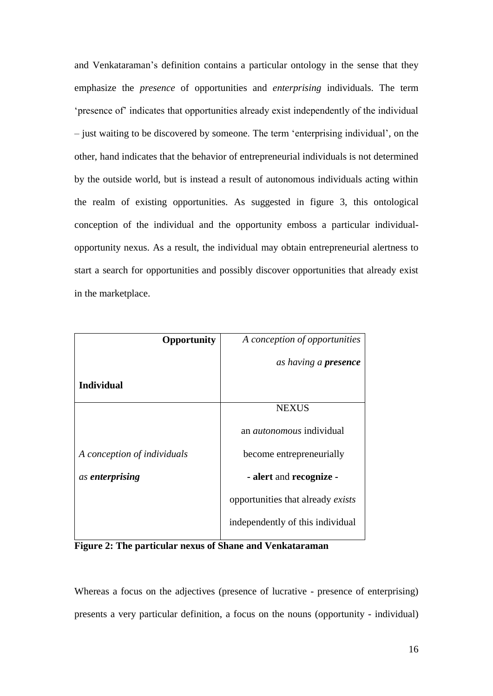and Venkataraman"s definition contains a particular ontology in the sense that they emphasize the *presence* of opportunities and *enterprising* individuals. The term "presence of" indicates that opportunities already exist independently of the individual – just waiting to be discovered by someone. The term "enterprising individual", on the other, hand indicates that the behavior of entrepreneurial individuals is not determined by the outside world, but is instead a result of autonomous individuals acting within the realm of existing opportunities. As suggested in figure 3, this ontological conception of the individual and the opportunity emboss a particular individualopportunity nexus. As a result, the individual may obtain entrepreneurial alertness to start a search for opportunities and possibly discover opportunities that already exist in the marketplace.

| Opportunity                 | A conception of opportunities     |
|-----------------------------|-----------------------------------|
|                             | as having a <b>presence</b>       |
| <b>Individual</b>           |                                   |
|                             | <b>NEXUS</b>                      |
|                             | an <i>autonomous</i> individual   |
| A conception of individuals | become entrepreneurially          |
| as enterprising             | - alert and recognize -           |
|                             | opportunities that already exists |
|                             | independently of this individual  |

**Figure 2: The particular nexus of Shane and Venkataraman**

Whereas a focus on the adjectives (presence of lucrative - presence of enterprising) presents a very particular definition, a focus on the nouns (opportunity - individual)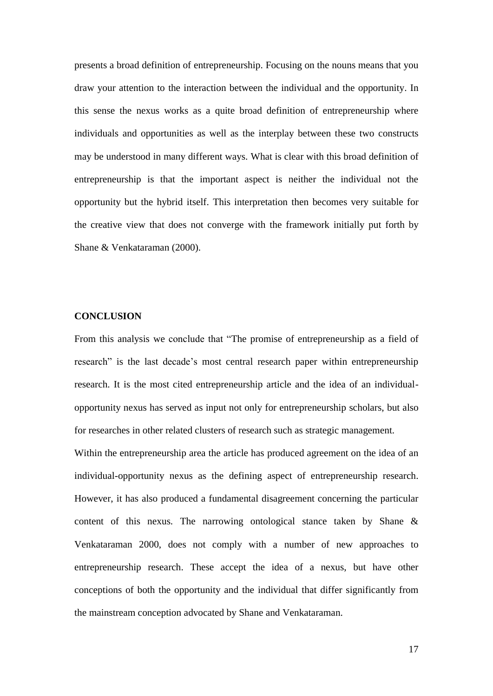presents a broad definition of entrepreneurship. Focusing on the nouns means that you draw your attention to the interaction between the individual and the opportunity. In this sense the nexus works as a quite broad definition of entrepreneurship where individuals and opportunities as well as the interplay between these two constructs may be understood in many different ways. What is clear with this broad definition of entrepreneurship is that the important aspect is neither the individual not the opportunity but the hybrid itself. This interpretation then becomes very suitable for the creative view that does not converge with the framework initially put forth by Shane & Venkataraman (2000).

#### **CONCLUSION**

From this analysis we conclude that "The promise of entrepreneurship as a field of research" is the last decade"s most central research paper within entrepreneurship research. It is the most cited entrepreneurship article and the idea of an individualopportunity nexus has served as input not only for entrepreneurship scholars, but also for researches in other related clusters of research such as strategic management.

Within the entrepreneurship area the article has produced agreement on the idea of an individual-opportunity nexus as the defining aspect of entrepreneurship research. However, it has also produced a fundamental disagreement concerning the particular content of this nexus. The narrowing ontological stance taken by Shane & Venkataraman 2000, does not comply with a number of new approaches to entrepreneurship research. These accept the idea of a nexus, but have other conceptions of both the opportunity and the individual that differ significantly from the mainstream conception advocated by Shane and Venkataraman.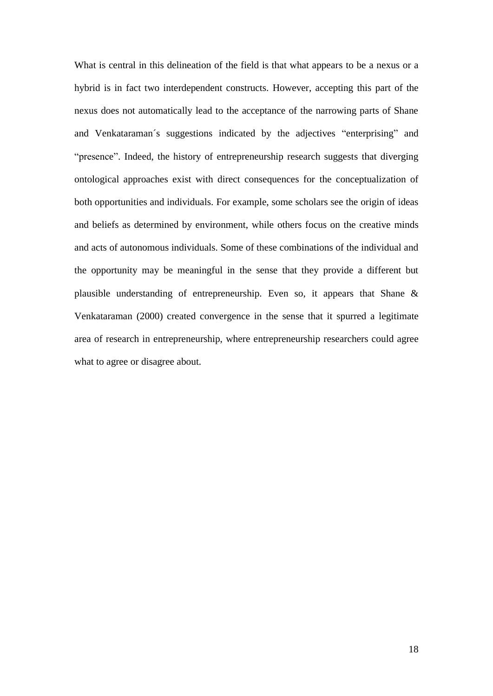What is central in this delineation of the field is that what appears to be a nexus or a hybrid is in fact two interdependent constructs. However, accepting this part of the nexus does not automatically lead to the acceptance of the narrowing parts of Shane and Venkataraman´s suggestions indicated by the adjectives "enterprising" and "presence". Indeed, the history of entrepreneurship research suggests that diverging ontological approaches exist with direct consequences for the conceptualization of both opportunities and individuals. For example, some scholars see the origin of ideas and beliefs as determined by environment, while others focus on the creative minds and acts of autonomous individuals. Some of these combinations of the individual and the opportunity may be meaningful in the sense that they provide a different but plausible understanding of entrepreneurship. Even so, it appears that Shane & Venkataraman (2000) created convergence in the sense that it spurred a legitimate area of research in entrepreneurship, where entrepreneurship researchers could agree what to agree or disagree about.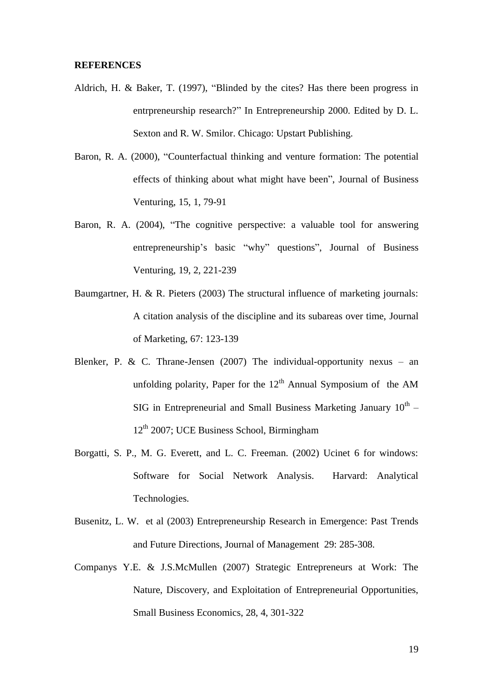#### **REFERENCES**

- Aldrich, H. & Baker, T. (1997), "Blinded by the cites? Has there been progress in entrpreneurship research?" In Entrepreneurship 2000. Edited by D. L. Sexton and R. W. Smilor. Chicago: Upstart Publishing.
- Baron, R. A. (2000), "Counterfactual thinking and venture formation: The potential effects of thinking about what might have been", Journal of Business Venturing, 15, 1, 79-91
- Baron, R. A. (2004), "The cognitive perspective: a valuable tool for answering entrepreneurship"s basic "why" questions", Journal of Business Venturing, 19, 2, 221-239
- Baumgartner, H. & R. Pieters (2003) The structural influence of marketing journals: A citation analysis of the discipline and its subareas over time, Journal of Marketing, 67: 123-139
- Blenker, P. & C. Thrane-Jensen (2007) The individual-opportunity nexus an unfolding polarity, Paper for the  $12<sup>th</sup>$  Annual Symposium of the AM SIG in Entrepreneurial and Small Business Marketing January  $10^{th}$  –  $12<sup>th</sup>$  2007; UCE Business School, Birmingham
- Borgatti, S. P., M. G. Everett, and L. C. Freeman. (2002) Ucinet 6 for windows: Software for Social Network Analysis. Harvard: Analytical Technologies.
- Busenitz, L. W. et al (2003) Entrepreneurship Research in Emergence: Past Trends and Future Directions, Journal of Management 29: 285-308.
- Companys Y.E. & J.S.McMullen (2007) Strategic Entrepreneurs at Work: The Nature, Discovery, and Exploitation of Entrepreneurial Opportunities, Small Business Economics, 28, 4, 301-322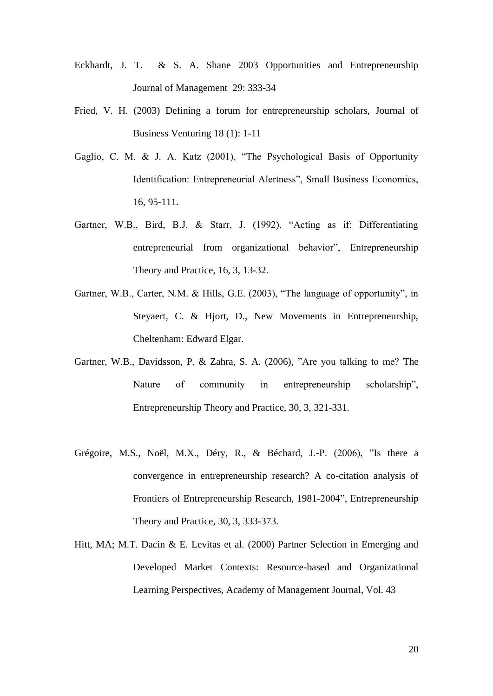- Eckhardt, J. T. & S. A. Shane 2003 Opportunities and Entrepreneurship Journal of Management 29: 333-34
- Fried, V. H. (2003) Defining a forum for entrepreneurship scholars, Journal of Business Venturing 18 (1): 1-11
- Gaglio, C. M. & J. A. Katz (2001), "The Psychological Basis of Opportunity Identification: Entrepreneurial Alertness", Small Business Economics, 16, 95-111.
- Gartner, W.B., Bird, B.J. & Starr, J. (1992), "Acting as if: Differentiating entrepreneurial from organizational behavior", Entrepreneurship Theory and Practice, 16, 3, 13-32.
- Gartner, W.B., Carter, N.M. & Hills, G.E. (2003), "The language of opportunity", in Steyaert, C. & Hjort, D., New Movements in Entrepreneurship, Cheltenham: Edward Elgar.
- Gartner, W.B., Davidsson, P. & Zahra, S. A. (2006), "Are you talking to me? The Nature of community in entrepreneurship scholarship", Entrepreneurship Theory and Practice, 30, 3, 321-331.
- Grégoire, M.S., Noël, M.X., Déry, R., & Béchard, J.-P. (2006), "Is there a convergence in entrepreneurship research? A co-citation analysis of Frontiers of Entrepreneurship Research, 1981-2004", Entrepreneurship Theory and Practice, 30, 3, 333-373.
- Hitt, MA; M.T. Dacin & E. Levitas et al. (2000) Partner Selection in Emerging and Developed Market Contexts: Resource-based and Organizational Learning Perspectives, Academy of Management Journal, Vol. 43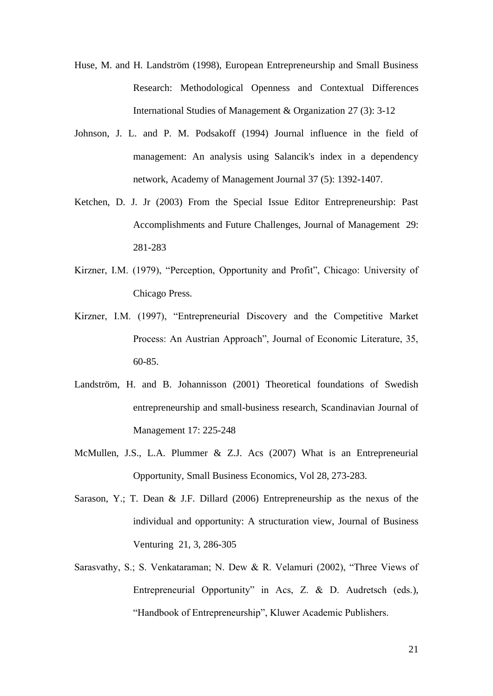- Huse, M. and H. Landström (1998), European Entrepreneurship and Small Business Research: Methodological Openness and Contextual Differences International Studies of Management & Organization 27 (3): 3-12
- Johnson, J. L. and P. M. Podsakoff (1994) Journal influence in the field of management: An analysis using Salancik's index in a dependency network, Academy of Management Journal 37 (5): 1392-1407.
- Ketchen, D. J. Jr (2003) From the Special Issue Editor Entrepreneurship: Past Accomplishments and Future Challenges, Journal of Management 29: 281-283
- Kirzner, I.M. (1979), "Perception, Opportunity and Profit", Chicago: University of Chicago Press.
- Kirzner, I.M. (1997), "Entrepreneurial Discovery and the Competitive Market Process: An Austrian Approach", Journal of Economic Literature, 35, 60-85.
- Landström, H. and B. Johannisson (2001) Theoretical foundations of Swedish entrepreneurship and small-business research, Scandinavian Journal of Management 17: 225-248
- McMullen, J.S., L.A. Plummer & Z.J. Acs (2007) What is an Entrepreneurial Opportunity, Small Business Economics, Vol 28, 273-283.
- Sarason, Y.; T. Dean & J.F. Dillard (2006) Entrepreneurship as the nexus of the individual and opportunity: A structuration view, Journal of Business Venturing 21, 3, 286-305
- Sarasvathy, S.; S. Venkataraman; N. Dew & R. Velamuri (2002), "Three Views of Entrepreneurial Opportunity" in Acs, Z. & D. Audretsch (eds.), "Handbook of Entrepreneurship", Kluwer Academic Publishers.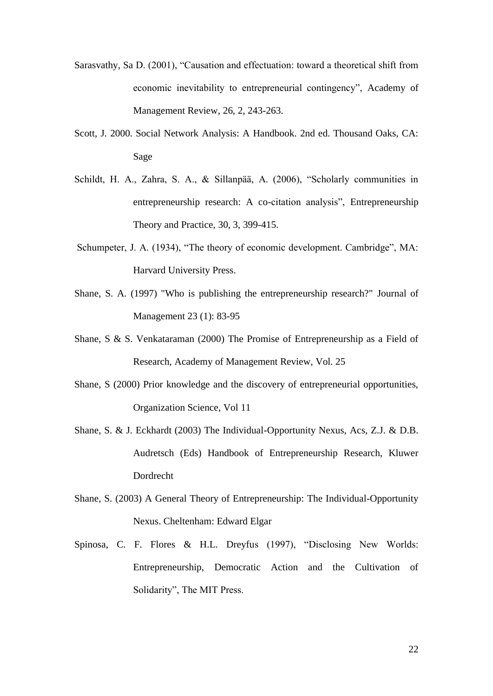- Sarasvathy, Sa D. (2001), "Causation and effectuation: toward a theoretical shift from economic inevitability to entrepreneurial contingency", Academy of Management Review, 26, 2, 243-263.
- Scott, J. 2000. Social Network Analysis: A Handbook. 2nd ed. Thousand Oaks, CA: Sage
- Schildt, H. A., Zahra, S. A., & Sillanpää, A. (2006), "Scholarly communities in entrepreneurship research: A co-citation analysis", Entrepreneurship Theory and Practice, 30, 3, 399-415.
- Schumpeter, J. A. (1934), "The theory of economic development. Cambridge", MA: Harvard University Press.
- Shane, S. A. (1997) "Who is publishing the entrepreneurship research?" Journal of Management 23 (1): 83-95
- Shane, S & S. Venkataraman (2000) The Promise of Entrepreneurship as a Field of Research, Academy of Management Review, Vol. 25
- Shane, S (2000) Prior knowledge and the discovery of entrepreneurial opportunities, Organization Science, Vol 11
- Shane, S. & J. Eckhardt (2003) The Individual-Opportunity Nexus, Acs, Z.J. & D.B. Audretsch (Eds) Handbook of Entrepreneurship Research, Kluwer Dordrecht
- Shane, S. (2003) A General Theory of Entrepreneurship: The Individual-Opportunity Nexus. Cheltenham: Edward Elgar
- Spinosa, C. F. Flores & H.L. Dreyfus (1997), "Disclosing New Worlds: Entrepreneurship, Democratic Action and the Cultivation of Solidarity", The MIT Press.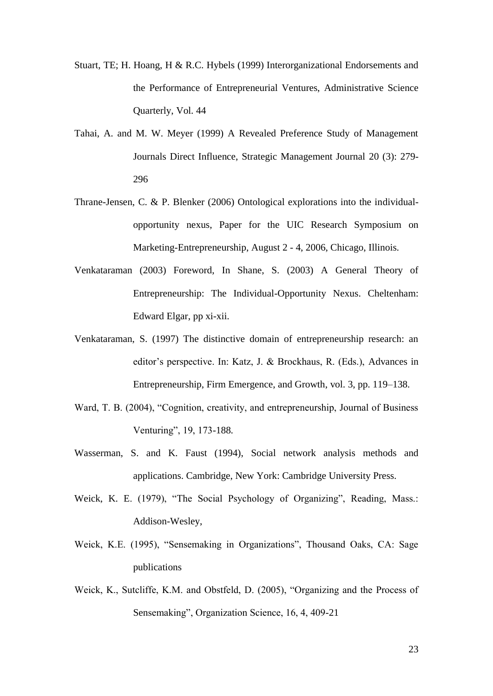- Stuart, TE; H. Hoang, H & R.C. Hybels (1999) Interorganizational Endorsements and the Performance of Entrepreneurial Ventures, Administrative Science Quarterly, Vol. 44
- Tahai, A. and M. W. Meyer (1999) A Revealed Preference Study of Management Journals Direct Influence, Strategic Management Journal 20 (3): 279- 296
- Thrane-Jensen, C. & P. Blenker (2006) Ontological explorations into the individualopportunity nexus, Paper for the UIC Research Symposium on Marketing-Entrepreneurship, August 2 - 4, 2006, Chicago, Illinois.
- Venkataraman (2003) Foreword, In Shane, S. (2003) A General Theory of Entrepreneurship: The Individual-Opportunity Nexus. Cheltenham: Edward Elgar, pp xi-xii.
- Venkataraman, S. (1997) The distinctive domain of entrepreneurship research: an editor"s perspective. In: Katz, J. & Brockhaus, R. (Eds.), Advances in Entrepreneurship, Firm Emergence, and Growth, vol. 3, pp. 119–138.
- Ward, T. B. (2004), "Cognition, creativity, and entrepreneurship, Journal of Business Venturing", 19, 173-188.
- Wasserman, S. and K. Faust (1994), Social network analysis methods and applications. Cambridge, New York: Cambridge University Press.
- Weick, K. E. (1979), "The Social Psychology of Organizing", Reading, Mass.: Addison-Wesley,
- Weick, K.E. (1995), "Sensemaking in Organizations", Thousand Oaks, CA: Sage publications
- Weick, K., Sutcliffe, K.M. and Obstfeld, D. (2005), "Organizing and the Process of Sensemaking", Organization Science, 16, 4, 409-21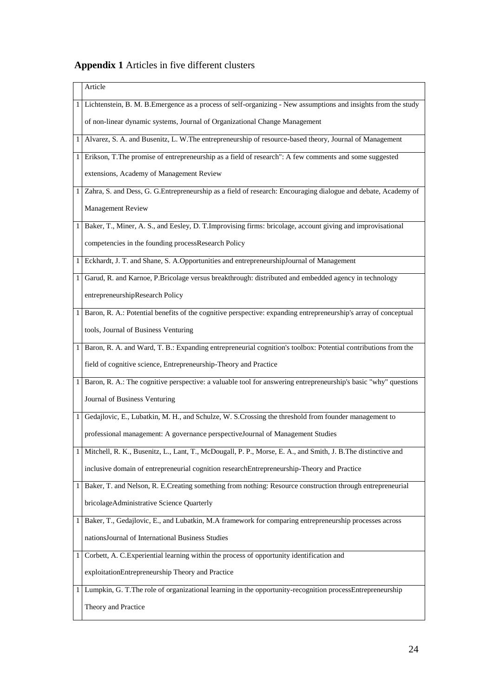# **Appendix 1** Articles in five different clusters

|   | Article                                                                                                         |
|---|-----------------------------------------------------------------------------------------------------------------|
|   | Lichtenstein, B. M. B.Emergence as a process of self-organizing - New assumptions and insights from the study   |
|   | of non-linear dynamic systems, Journal of Organizational Change Management                                      |
| 1 | Alvarez, S. A. and Busenitz, L. W. The entrepreneurship of resource-based theory, Journal of Management         |
| 1 | Erikson, T.The promise of entrepreneurship as a field of research": A few comments and some suggested           |
|   | extensions, Academy of Management Review                                                                        |
| 1 | Zahra, S. and Dess, G. G.Entrepreneurship as a field of research: Encouraging dialogue and debate, Academy of   |
|   | Management Review                                                                                               |
| 1 | Baker, T., Miner, A. S., and Eesley, D. T. Improvising firms: bricolage, account giving and improvisational     |
|   | competencies in the founding processResearch Policy                                                             |
| 1 | Eckhardt, J. T. and Shane, S. A.Opportunities and entrepreneurshipJournal of Management                         |
| 1 | Garud, R. and Karnoe, P.Bricolage versus breakthrough: distributed and embedded agency in technology            |
|   | entrepreneurshipResearch Policy                                                                                 |
| 1 | Baron, R. A.: Potential benefits of the cognitive perspective: expanding entrepreneurship's array of conceptual |
|   | tools, Journal of Business Venturing                                                                            |
| 1 | Baron, R. A. and Ward, T. B.: Expanding entrepreneurial cognition's toolbox: Potential contributions from the   |
|   | field of cognitive science, Entrepreneurship-Theory and Practice                                                |
| 1 | Baron, R. A.: The cognitive perspective: a valuable tool for answering entrepreneurship's basic "why" questions |
|   | Journal of Business Venturing                                                                                   |
| 1 | Gedajlovic, E., Lubatkin, M. H., and Schulze, W. S.Crossing the threshold from founder management to            |
|   | professional management: A governance perspectiveJournal of Management Studies                                  |
| 1 | Mitchell, R. K., Busenitz, L., Lant, T., McDougall, P. P., Morse, E. A., and Smith, J. B. The distinctive and   |
|   | inclusive domain of entrepreneurial cognition researchEntrepreneurship-Theory and Practice                      |
|   | Baker, T. and Nelson, R. E. Creating something from nothing: Resource construction through entrepreneurial      |
|   | bricolageAdministrative Science Quarterly                                                                       |
| 1 | Baker, T., Gedajlovic, E., and Lubatkin, M.A framework for comparing entrepreneurship processes across          |
|   | nations Journal of International Business Studies                                                               |
| 1 | Corbett, A. C. Experiential learning within the process of opportunity identification and                       |
|   | exploitationEntrepreneurship Theory and Practice                                                                |
| 1 | Lumpkin, G. T.The role of organizational learning in the opportunity-recognition processEntrepreneurship        |
|   | Theory and Practice                                                                                             |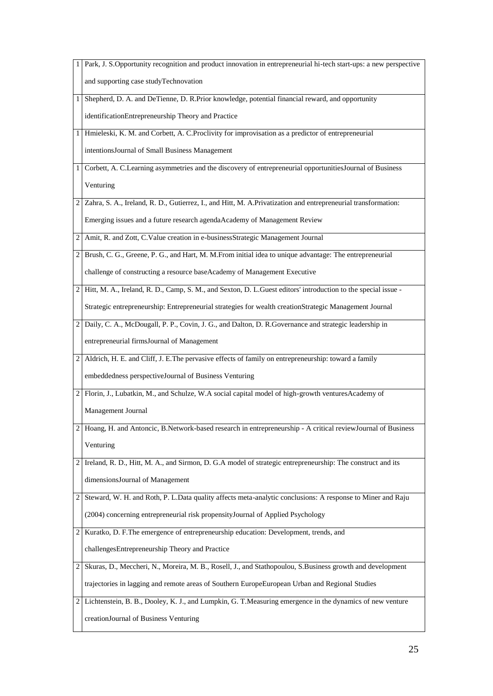|                | Park, J. S.Opportunity recognition and product innovation in entrepreneurial hi-tech start-ups: a new perspective |
|----------------|-------------------------------------------------------------------------------------------------------------------|
|                | and supporting case studyTechnovation                                                                             |
| $\mathbf{1}$   | Shepherd, D. A. and DeTienne, D. R.Prior knowledge, potential financial reward, and opportunity                   |
|                | identificationEntrepreneurship Theory and Practice                                                                |
| 1 <sub>1</sub> | Hmieleski, K. M. and Corbett, A. C. Proclivity for improvisation as a predictor of entrepreneurial                |
|                | intentions Journal of Small Business Management                                                                   |
| $\mathbf{1}$   | Corbett, A. C.Learning asymmetries and the discovery of entrepreneurial opportunities Journal of Business         |
|                | Venturing                                                                                                         |
| 2              | Zahra, S. A., Ireland, R. D., Gutierrez, I., and Hitt, M. A.Privatization and entrepreneurial transformation:     |
|                | Emerging issues and a future research agendaAcademy of Management Review                                          |
| $\overline{c}$ | Amit, R. and Zott, C.Value creation in e-businessStrategic Management Journal                                     |
| $\overline{2}$ | Brush, C. G., Greene, P. G., and Hart, M. M.From initial idea to unique advantage: The entrepreneurial            |
|                | challenge of constructing a resource baseAcademy of Management Executive                                          |
|                | 2 Hitt, M. A., Ireland, R. D., Camp, S. M., and Sexton, D. L.Guest editors' introduction to the special issue -   |
|                | Strategic entrepreneurship: Entrepreneurial strategies for wealth creationStrategic Management Journal            |
| 2              | Daily, C. A., McDougall, P. P., Covin, J. G., and Dalton, D. R. Governance and strategic leadership in            |
|                | entrepreneurial firmsJournal of Management                                                                        |
| 2              | Aldrich, H. E. and Cliff, J. E. The pervasive effects of family on entrepreneurship: toward a family              |
|                | embeddedness perspectiveJournal of Business Venturing                                                             |
| 2              | Florin, J., Lubatkin, M., and Schulze, W.A social capital model of high-growth ventures Academy of                |
|                | Management Journal                                                                                                |
|                | 2 Hoang, H. and Antoncic, B.Network-based research in entrepreneurship - A critical review Journal of Business    |
|                | Venturing                                                                                                         |
| 2              | Ireland, R. D., Hitt, M. A., and Sirmon, D. G.A model of strategic entrepreneurship: The construct and its        |
|                | dimensions Journal of Management                                                                                  |
| 2              | Steward, W. H. and Roth, P. L.Data quality affects meta-analytic conclusions: A response to Miner and Raju        |
|                | (2004) concerning entrepreneurial risk propensityJournal of Applied Psychology                                    |
| 2              | Kuratko, D. F.The emergence of entrepreneurship education: Development, trends, and                               |
|                | challengesEntrepreneurship Theory and Practice                                                                    |
| 2              | Skuras, D., Meccheri, N., Moreira, M. B., Rosell, J., and Stathopoulou, S.Business growth and development         |
|                | trajectories in lagging and remote areas of Southern EuropeEuropean Urban and Regional Studies                    |
| $\overline{2}$ | Lichtenstein, B. B., Dooley, K. J., and Lumpkin, G. T. Measuring emergence in the dynamics of new venture         |
|                | creationJournal of Business Venturing                                                                             |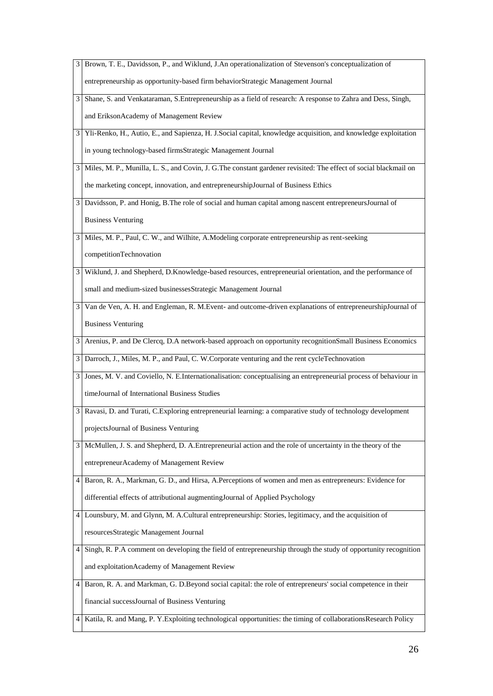|                | Brown, T. E., Davidsson, P., and Wiklund, J.An operationalization of Stevenson's conceptualization of               |
|----------------|---------------------------------------------------------------------------------------------------------------------|
|                | entrepreneurship as opportunity-based firm behaviorStrategic Management Journal                                     |
| 3              | Shane, S. and Venkataraman, S.Entrepreneurship as a field of research: A response to Zahra and Dess, Singh,         |
|                | and EriksonAcademy of Management Review                                                                             |
| 3              | Yli-Renko, H., Autio, E., and Sapienza, H. J.Social capital, knowledge acquisition, and knowledge exploitation      |
|                | in young technology-based firmsStrategic Management Journal                                                         |
|                | 3 Miles, M. P., Munilla, L. S., and Covin, J. G. The constant gardener revisited: The effect of social blackmail on |
|                | the marketing concept, innovation, and entrepreneurshipJournal of Business Ethics                                   |
| $\overline{3}$ | Davidsson, P. and Honig, B. The role of social and human capital among nascent entrepreneurs Journal of             |
|                | <b>Business Venturing</b>                                                                                           |
|                | 3 Miles, M. P., Paul, C. W., and Wilhite, A. Modeling corporate entrepreneurship as rent-seeking                    |
|                | competitionTechnovation                                                                                             |
| $\overline{3}$ | Wiklund, J. and Shepherd, D.Knowledge-based resources, entrepreneurial orientation, and the performance of          |
|                | small and medium-sized businessesStrategic Management Journal                                                       |
| 31             | Van de Ven, A. H. and Engleman, R. M.Event- and outcome-driven explanations of entrepreneurshipJournal of           |
|                | <b>Business Venturing</b>                                                                                           |
| $\mathbf{3}$   | Arenius, P. and De Clercq, D.A network-based approach on opportunity recognitionSmall Business Economics            |
| 3              | Darroch, J., Miles, M. P., and Paul, C. W.Corporate venturing and the rent cycleTechnovation                        |
| 3              | Jones, M. V. and Coviello, N. E.Internationalisation: conceptualising an entrepreneurial process of behaviour in    |
|                | timeJournal of International Business Studies                                                                       |
| $\mathbf{3}$   | Ravasi, D. and Turati, C.Exploring entrepreneurial learning: a comparative study of technology development          |
|                | projectsJournal of Business Venturing                                                                               |
|                | 3 McMullen, J. S. and Shepherd, D. A. Entrepreneurial action and the role of uncertainty in the theory of the       |
|                | entrepreneurAcademy of Management Review                                                                            |
|                | 4 Baron, R. A., Markman, G. D., and Hirsa, A.Perceptions of women and men as entrepreneurs: Evidence for            |
|                | differential effects of attributional augmenting Journal of Applied Psychology                                      |
| 4              | Lounsbury, M. and Glynn, M. A.Cultural entrepreneurship: Stories, legitimacy, and the acquisition of                |
|                | resourcesStrategic Management Journal                                                                               |
| 4              | Singh, R. P.A comment on developing the field of entrepreneurship through the study of opportunity recognition      |
|                | and exploitationAcademy of Management Review                                                                        |
| 4 I            | Baron, R. A. and Markman, G. D. Beyond social capital: the role of entrepreneurs' social competence in their        |
|                | financial successJournal of Business Venturing                                                                      |
|                | 4   Katila, R. and Mang, P. Y. Exploiting technological opportunities: the timing of collaborationsResearch Policy  |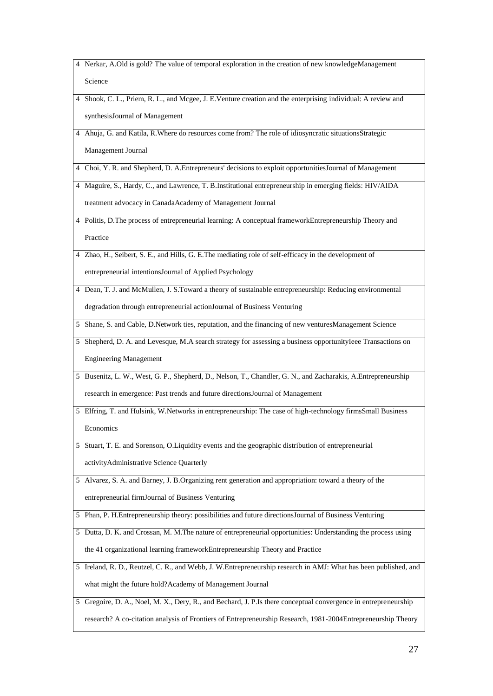|   | Nerkar, A.Old is gold? The value of temporal exploration in the creation of new knowledgeManagement            |
|---|----------------------------------------------------------------------------------------------------------------|
|   | Science                                                                                                        |
| 4 | Shook, C. L., Priem, R. L., and Mcgee, J. E.Venture creation and the enterprising individual: A review and     |
|   | synthesisJournal of Management                                                                                 |
| 4 | Ahuja, G. and Katila, R. Where do resources come from? The role of idiosyncratic situationsStrategic           |
|   | Management Journal                                                                                             |
| 4 | Choi, Y. R. and Shepherd, D. A. Entrepreneurs' decisions to exploit opportunities Journal of Management        |
| 4 | Maguire, S., Hardy, C., and Lawrence, T. B.Institutional entrepreneurship in emerging fields: HIV/AIDA         |
|   | treatment advocacy in CanadaAcademy of Management Journal                                                      |
| 4 | Politis, D.The process of entrepreneurial learning: A conceptual frameworkEntrepreneurship Theory and          |
|   | Practice                                                                                                       |
| 4 | Zhao, H., Seibert, S. E., and Hills, G. E. The mediating role of self-efficacy in the development of           |
|   | entrepreneurial intentionsJournal of Applied Psychology                                                        |
| 4 | Dean, T. J. and McMullen, J. S.Toward a theory of sustainable entrepreneurship: Reducing environmental         |
|   | degradation through entrepreneurial actionJournal of Business Venturing                                        |
| 5 | Shane, S. and Cable, D.Network ties, reputation, and the financing of new ventures Management Science          |
| 5 | Shepherd, D. A. and Levesque, M.A search strategy for assessing a business opportunity leee Transactions on    |
|   | <b>Engineering Management</b>                                                                                  |
| 5 | Busenitz, L. W., West, G. P., Shepherd, D., Nelson, T., Chandler, G. N., and Zacharakis, A.Entrepreneurship    |
|   | research in emergence: Past trends and future directions Journal of Management                                 |
| 5 | Elfring, T. and Hulsink, W.Networks in entrepreneurship: The case of high-technology firmsSmall Business       |
|   | Economics                                                                                                      |
| 5 | Stuart, T. E. and Sorenson, O.Liquidity events and the geographic distribution of entrepreneurial              |
|   | activityAdministrative Science Quarterly                                                                       |
| 5 | Alvarez, S. A. and Barney, J. B. Organizing rent generation and appropriation: toward a theory of the          |
|   | entrepreneurial firmJournal of Business Venturing                                                              |
| 5 | Phan, P. H.Entrepreneurship theory: possibilities and future directionsJournal of Business Venturing           |
| 5 | Dutta, D. K. and Crossan, M. M. The nature of entrepreneurial opportunities: Understanding the process using   |
|   | the 41 organizational learning frameworkEntrepreneurship Theory and Practice                                   |
| 5 | Ireland, R. D., Reutzel, C. R., and Webb, J. W. Entrepreneurship research in AMJ: What has been published, and |
|   | what might the future hold?Academy of Management Journal                                                       |
| 5 | Gregoire, D. A., Noel, M. X., Dery, R., and Bechard, J. P.Is there conceptual convergence in entrepreneurship  |
|   | research? A co-citation analysis of Frontiers of Entrepreneurship Research, 1981-2004Entrepreneurship Theory   |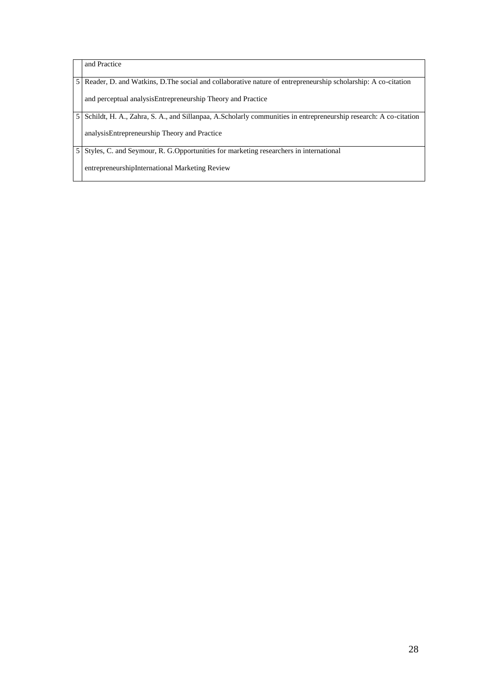and Practice 5 Reader, D. and Watkins, D.The social and collaborative nature of entrepreneurship scholarship: A co-citation and perceptual analysisEntrepreneurship Theory and Practice 5 Schildt, H. A., Zahra, S. A., and Sillanpaa, A.Scholarly communities in entrepreneurship research: A co-citation analysisEntrepreneurship Theory and Practice 5 Styles, C. and Seymour, R. G.Opportunities for marketing researchers in international entrepreneurshipInternational Marketing Review